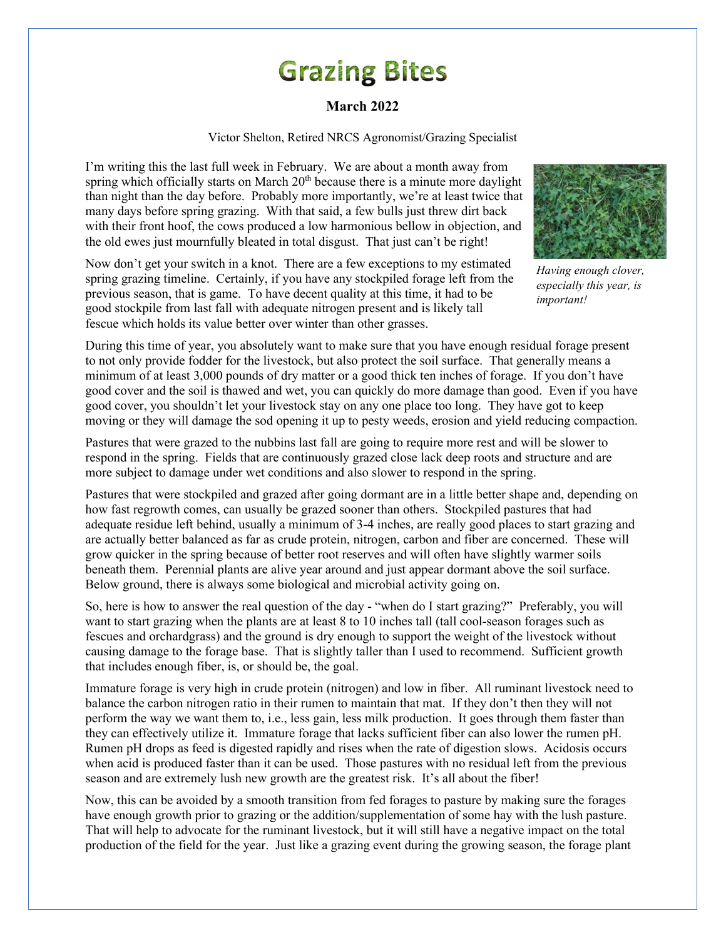## **Grazing Bites**

## **March 2022**

Victor Shelton, Retired NRCS Agronomist/Grazing Specialist

I'm writing this the last full week in February. We are about a month away from spring which officially starts on March  $20<sup>th</sup>$  because there is a minute more daylight than night than the day before. Probably more importantly, we're at least twice that many days before spring grazing. With that said, a few bulls just threw dirt back with their front hoof, the cows produced a low harmonious bellow in objection, and the old ewes just mournfully bleated in total disgust. That just can't be right!



*Having enough clover, especially this year, is important!*

Now don't get your switch in a knot. There are a few exceptions to my estimated spring grazing timeline. Certainly, if you have any stockpiled forage left from the previous season, that is game. To have decent quality at this time, it had to be good stockpile from last fall with adequate nitrogen present and is likely tall fescue which holds its value better over winter than other grasses.

During this time of year, you absolutely want to make sure that you have enough residual forage present to not only provide fodder for the livestock, but also protect the soil surface. That generally means a minimum of at least 3,000 pounds of dry matter or a good thick ten inches of forage. If you don't have good cover and the soil is thawed and wet, you can quickly do more damage than good. Even if you have good cover, you shouldn't let your livestock stay on any one place too long. They have got to keep moving or they will damage the sod opening it up to pesty weeds, erosion and yield reducing compaction.

Pastures that were grazed to the nubbins last fall are going to require more rest and will be slower to respond in the spring. Fields that are continuously grazed close lack deep roots and structure and are more subject to damage under wet conditions and also slower to respond in the spring.

Pastures that were stockpiled and grazed after going dormant are in a little better shape and, depending on how fast regrowth comes, can usually be grazed sooner than others. Stockpiled pastures that had adequate residue left behind, usually a minimum of 3-4 inches, are really good places to start grazing and are actually better balanced as far as crude protein, nitrogen, carbon and fiber are concerned. These will grow quicker in the spring because of better root reserves and will often have slightly warmer soils beneath them. Perennial plants are alive year around and just appear dormant above the soil surface. Below ground, there is always some biological and microbial activity going on.

So, here is how to answer the real question of the day - "when do I start grazing?" Preferably, you will want to start grazing when the plants are at least 8 to 10 inches tall (tall cool-season forages such as fescues and orchardgrass) and the ground is dry enough to support the weight of the livestock without causing damage to the forage base. That is slightly taller than I used to recommend. Sufficient growth that includes enough fiber, is, or should be, the goal.

Immature forage is very high in crude protein (nitrogen) and low in fiber. All ruminant livestock need to balance the carbon nitrogen ratio in their rumen to maintain that mat. If they don't then they will not perform the way we want them to, i.e., less gain, less milk production. It goes through them faster than they can effectively utilize it. Immature forage that lacks sufficient fiber can also lower the rumen pH. Rumen pH drops as feed is digested rapidly and rises when the rate of digestion slows. Acidosis occurs when acid is produced faster than it can be used. Those pastures with no residual left from the previous season and are extremely lush new growth are the greatest risk. It's all about the fiber!

Now, this can be avoided by a smooth transition from fed forages to pasture by making sure the forages have enough growth prior to grazing or the addition/supplementation of some hay with the lush pasture. That will help to advocate for the ruminant livestock, but it will still have a negative impact on the total production of the field for the year. Just like a grazing event during the growing season, the forage plant